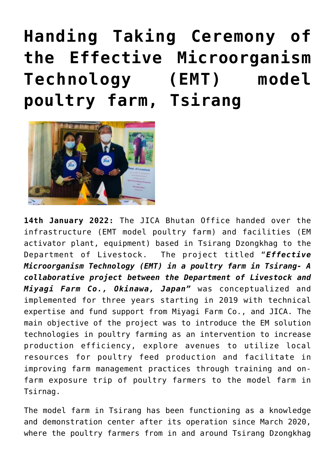## **[Handing Taking Ceremony of](https://www.dol.gov.bt/handing-taking-ceremony-of-the-effective-microorganism-technology-emt-model-poultry-farm-tsirang/) [the Effective Microorganism](https://www.dol.gov.bt/handing-taking-ceremony-of-the-effective-microorganism-technology-emt-model-poultry-farm-tsirang/) [Technology \(EMT\) model](https://www.dol.gov.bt/handing-taking-ceremony-of-the-effective-microorganism-technology-emt-model-poultry-farm-tsirang/) [poultry farm, Tsirang](https://www.dol.gov.bt/handing-taking-ceremony-of-the-effective-microorganism-technology-emt-model-poultry-farm-tsirang/)**



**14th January 2022:** The JICA Bhutan Office handed over the infrastructure (EMT model poultry farm) and facilities (EM activator plant, equipment) based in Tsirang Dzongkhag to the Department of Livestock. The project titled "*Effective Microorganism Technology (EMT) in a poultry farm in Tsirang- A collaborative project between the Department of Livestock and Miyagi Farm Co., Okinawa, Japan"* was conceptualized and implemented for three years starting in 2019 with technical expertise and fund support from Miyagi Farm Co., and JICA. The main objective of the project was to introduce the EM solution technologies in poultry farming as an intervention to increase production efficiency, explore avenues to utilize local resources for poultry feed production and facilitate in improving farm management practices through training and onfarm exposure trip of poultry farmers to the model farm in Tsirnag.

The model farm in Tsirang has been functioning as a knowledge and demonstration center after its operation since March 2020, where the poultry farmers from in and around Tsirang Dzongkhag